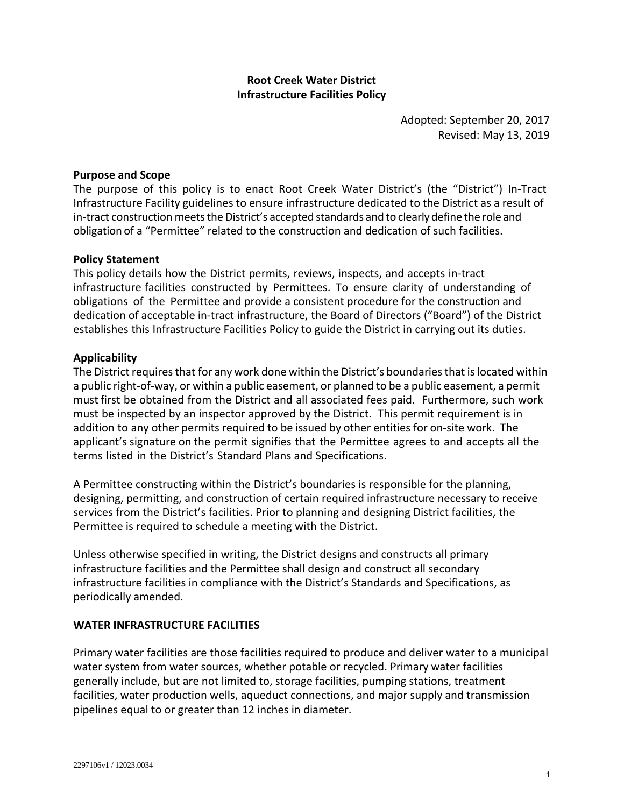# **Root Creek Water District Infrastructure Facilities Policy**

Adopted: September 20, 2017 Revised: May 13, 2019

## **Purpose and Scope**

The purpose of this policy is to enact Root Creek Water District's (the "District") In-Tract Infrastructure Facility guidelines to ensure infrastructure dedicated to the District as a result of in-tract construction meets the District's accepted standards and to clearly define the role and obligation of a "Permittee" related to the construction and dedication of such facilities.

### **Policy Statement**

This policy details how the District permits, reviews, inspects, and accepts in-tract infrastructure facilities constructed by Permittees. To ensure clarity of understanding of obligations of the Permittee and provide a consistent procedure for the construction and dedication of acceptable in-tract infrastructure, the Board of Directors ("Board") of the District establishes this Infrastructure Facilities Policy to guide the District in carrying out its duties.

### **Applicability**

The District requires that for any work done within the District's boundaries that is located within a public right-of-way, or within a public easement, or planned to be a public easement, a permit must first be obtained from the District and all associated fees paid. Furthermore, such work must be inspected by an inspector approved by the District. This permit requirement is in addition to any other permits required to be issued by other entities for on-site work. The applicant's signature on the permit signifies that the Permittee agrees to and accepts all the terms listed in the District's Standard Plans and Specifications.

A Permittee constructing within the District's boundaries is responsible for the planning, designing, permitting, and construction of certain required infrastructure necessary to receive services from the District's facilities. Prior to planning and designing District facilities, the Permittee is required to schedule a meeting with the District.

Unless otherwise specified in writing, the District designs and constructs all primary infrastructure facilities and the Permittee shall design and construct all secondary infrastructure facilities in compliance with the District's Standards and Specifications, as periodically amended.

### **WATER INFRASTRUCTURE FACILITIES**

Primary water facilities are those facilities required to produce and deliver water to a municipal water system from water sources, whether potable or recycled. Primary water facilities generally include, but are not limited to, storage facilities, pumping stations, treatment facilities, water production wells, aqueduct connections, and major supply and transmission pipelines equal to or greater than 12 inches in diameter.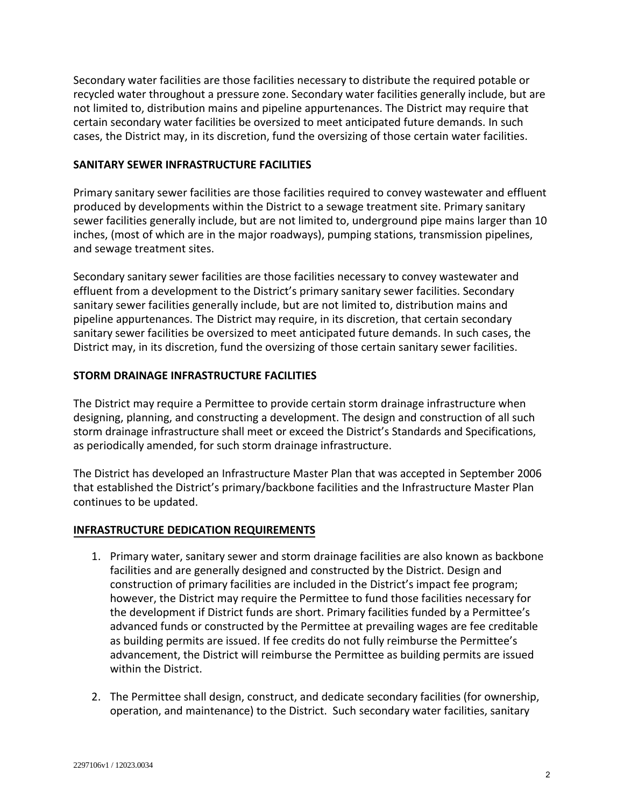Secondary water facilities are those facilities necessary to distribute the required potable or recycled water throughout a pressure zone. Secondary water facilities generally include, but are not limited to, distribution mains and pipeline appurtenances. The District may require that certain secondary water facilities be oversized to meet anticipated future demands. In such cases, the District may, in its discretion, fund the oversizing of those certain water facilities.

## **SANITARY SEWER INFRASTRUCTURE FACILITIES**

Primary sanitary sewer facilities are those facilities required to convey wastewater and effluent produced by developments within the District to a sewage treatment site. Primary sanitary sewer facilities generally include, but are not limited to, underground pipe mains larger than 10 inches, (most of which are in the major roadways), pumping stations, transmission pipelines, and sewage treatment sites.

Secondary sanitary sewer facilities are those facilities necessary to convey wastewater and effluent from a development to the District's primary sanitary sewer facilities. Secondary sanitary sewer facilities generally include, but are not limited to, distribution mains and pipeline appurtenances. The District may require, in its discretion, that certain secondary sanitary sewer facilities be oversized to meet anticipated future demands. In such cases, the District may, in its discretion, fund the oversizing of those certain sanitary sewer facilities.

### **STORM DRAINAGE INFRASTRUCTURE FACILITIES**

The District may require a Permittee to provide certain storm drainage infrastructure when designing, planning, and constructing a development. The design and construction of all such storm drainage infrastructure shall meet or exceed the District's Standards and Specifications, as periodically amended, for such storm drainage infrastructure.

The District has developed an Infrastructure Master Plan that was accepted in September 2006 that established the District's primary/backbone facilities and the Infrastructure Master Plan continues to be updated.

### **INFRASTRUCTURE DEDICATION REQUIREMENTS**

- 1. Primary water, sanitary sewer and storm drainage facilities are also known as backbone facilities and are generally designed and constructed by the District. Design and construction of primary facilities are included in the District's impact fee program; however, the District may require the Permittee to fund those facilities necessary for the development if District funds are short. Primary facilities funded by a Permittee's advanced funds or constructed by the Permittee at prevailing wages are fee creditable as building permits are issued. If fee credits do not fully reimburse the Permittee's advancement, the District will reimburse the Permittee as building permits are issued within the District.
- 2. The Permittee shall design, construct, and dedicate secondary facilities (for ownership, operation, and maintenance) to the District. Such secondary water facilities, sanitary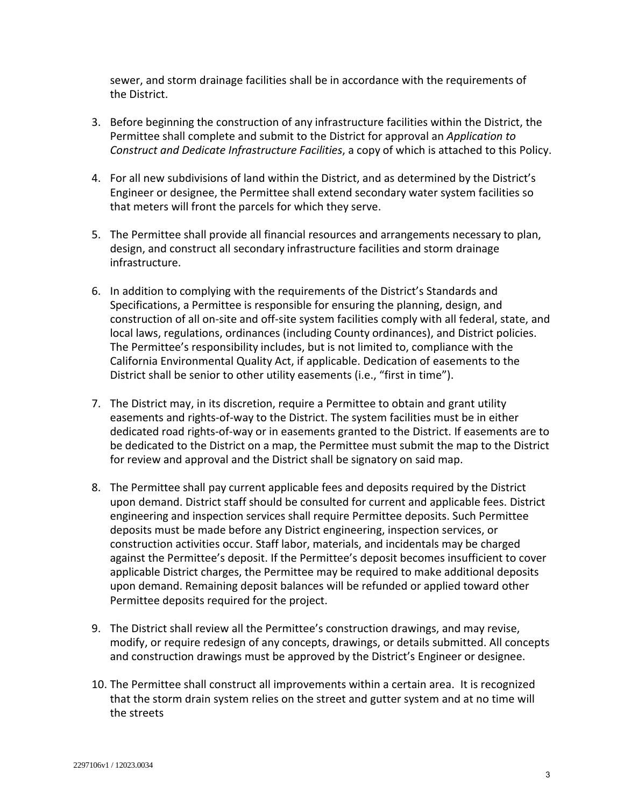sewer, and storm drainage facilities shall be in accordance with the requirements of the District.

- 3. Before beginning the construction of any infrastructure facilities within the District, the Permittee shall complete and submit to the District for approval an *Application to Construct and Dedicate Infrastructure Facilities*, a copy of which is attached to this Policy.
- 4. For all new subdivisions of land within the District, and as determined by the District's Engineer or designee, the Permittee shall extend secondary water system facilities so that meters will front the parcels for which they serve.
- 5. The Permittee shall provide all financial resources and arrangements necessary to plan, design, and construct all secondary infrastructure facilities and storm drainage infrastructure.
- 6. In addition to complying with the requirements of the District's Standards and Specifications, a Permittee is responsible for ensuring the planning, design, and construction of all on-site and off-site system facilities comply with all federal, state, and local laws, regulations, ordinances (including County ordinances), and District policies. The Permittee's responsibility includes, but is not limited to, compliance with the California Environmental Quality Act, if applicable. Dedication of easements to the District shall be senior to other utility easements (i.e., "first in time").
- 7. The District may, in its discretion, require a Permittee to obtain and grant utility easements and rights-of-way to the District. The system facilities must be in either dedicated road rights-of-way or in easements granted to the District. If easements are to be dedicated to the District on a map, the Permittee must submit the map to the District for review and approval and the District shall be signatory on said map.
- 8. The Permittee shall pay current applicable fees and deposits required by the District upon demand. District staff should be consulted for current and applicable fees. District engineering and inspection services shall require Permittee deposits. Such Permittee deposits must be made before any District engineering, inspection services, or construction activities occur. Staff labor, materials, and incidentals may be charged against the Permittee's deposit. If the Permittee's deposit becomes insufficient to cover applicable District charges, the Permittee may be required to make additional deposits upon demand. Remaining deposit balances will be refunded or applied toward other Permittee deposits required for the project.
- 9. The District shall review all the Permittee's construction drawings, and may revise, modify, or require redesign of any concepts, drawings, or details submitted. All concepts and construction drawings must be approved by the District's Engineer or designee.
- 10. The Permittee shall construct all improvements within a certain area. It is recognized that the storm drain system relies on the street and gutter system and at no time will the streets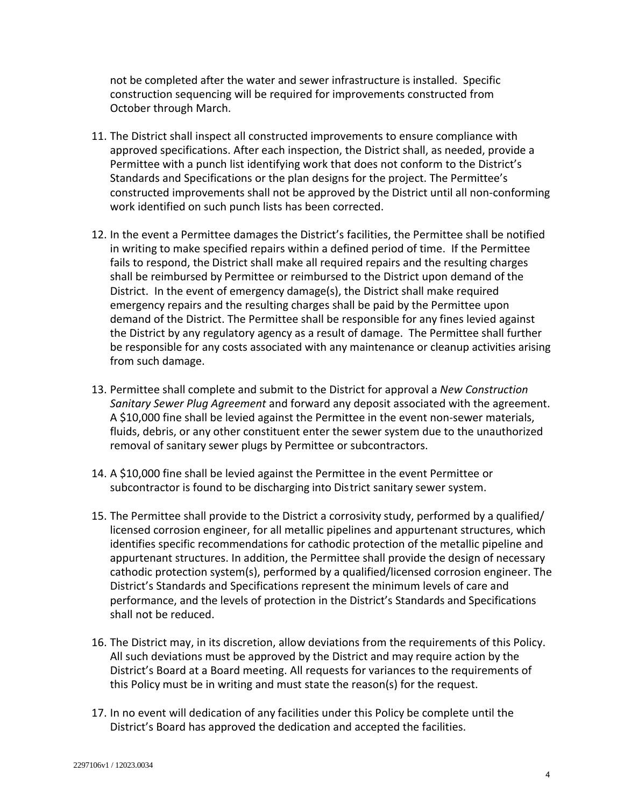not be completed after the water and sewer infrastructure is installed. Specific construction sequencing will be required for improvements constructed from October through March.

- 11. The District shall inspect all constructed improvements to ensure compliance with approved specifications. After each inspection, the District shall, as needed, provide a Permittee with a punch list identifying work that does not conform to the District's Standards and Specifications or the plan designs for the project. The Permittee's constructed improvements shall not be approved by the District until all non-conforming work identified on such punch lists has been corrected.
- 12. In the event a Permittee damages the District's facilities, the Permittee shall be notified in writing to make specified repairs within a defined period of time. If the Permittee fails to respond, the District shall make all required repairs and the resulting charges shall be reimbursed by Permittee or reimbursed to the District upon demand of the District. In the event of emergency damage(s), the District shall make required emergency repairs and the resulting charges shall be paid by the Permittee upon demand of the District. The Permittee shall be responsible for any fines levied against the District by any regulatory agency as a result of damage. The Permittee shall further be responsible for any costs associated with any maintenance or cleanup activities arising from such damage.
- 13. Permittee shall complete and submit to the District for approval a *New Construction Sanitary Sewer Plug Agreement* and forward any deposit associated with the agreement. A \$10,000 fine shall be levied against the Permittee in the event non-sewer materials, fluids, debris, or any other constituent enter the sewer system due to the unauthorized removal of sanitary sewer plugs by Permittee or subcontractors.
- 14. A \$10,000 fine shall be levied against the Permittee in the event Permittee or subcontractor is found to be discharging into District sanitary sewer system.
- 15. The Permittee shall provide to the District a corrosivity study, performed by a qualified/ licensed corrosion engineer, for all metallic pipelines and appurtenant structures, which identifies specific recommendations for cathodic protection of the metallic pipeline and appurtenant structures. In addition, the Permittee shall provide the design of necessary cathodic protection system(s), performed by a qualified/licensed corrosion engineer. The District's Standards and Specifications represent the minimum levels of care and performance, and the levels of protection in the District's Standards and Specifications shall not be reduced.
- 16. The District may, in its discretion, allow deviations from the requirements of this Policy. All such deviations must be approved by the District and may require action by the District's Board at a Board meeting. All requests for variances to the requirements of this Policy must be in writing and must state the reason(s) for the request.
- 17. In no event will dedication of any facilities under this Policy be complete until the District's Board has approved the dedication and accepted the facilities.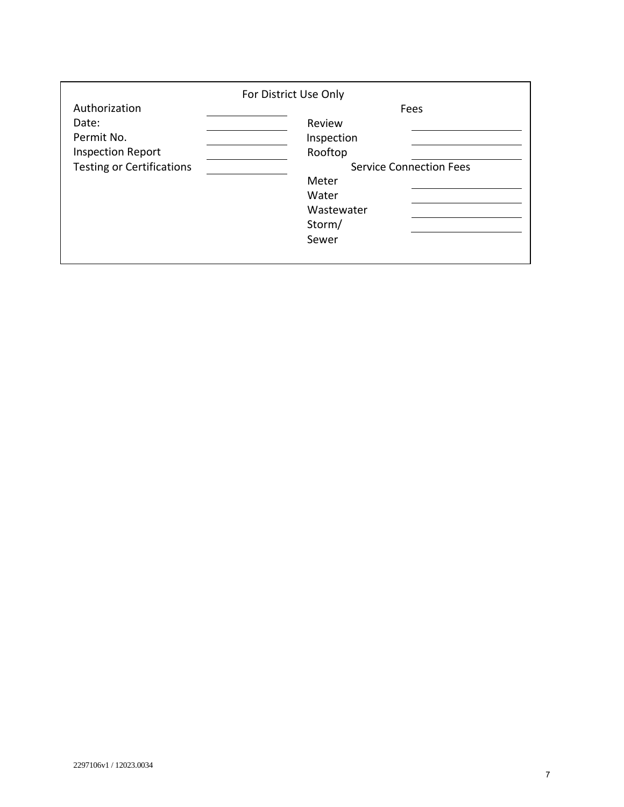| Authorization<br>Date:<br>Permit No.<br><b>Inspection Report</b><br><b>Testing or Certifications</b> | For District Use Only<br>$\hat{1}$ r $\hat{0}$ r $\hat{1}$ $\hat{1}$<br>$\hat{r}$<br>$\hat{1}$ $\hat{1}$ $\hat{1}$<br>S | í Review<br>Inspection total<br>š<br>Œ<br>D<br>$\&$<br>Water<br>Wastewater<br><b>Storm Drain</b> | Fees<br>" $6$ $\tilde{n}$ U $\tilde{i}$ $\tilde{i}$ $\tilde{j}$ $\tilde{k}$ $\tilde{i}$ $\tilde{j}$<br>$\cdot$ $\dot{S}_1$ $\dot{\uparrow}$<br>$\delta$ <sup>S</sup> U<br>$6Q_0 i X$<br>$\%$<br>Œ<br>$\bullet$<br>"ïUïîíXìì<br>ô<br>$\delta$ X<br>ò<br>" ó ô ô X ì ì | ì ì<br>Service Connection<br>i l |
|------------------------------------------------------------------------------------------------------|-------------------------------------------------------------------------------------------------------------------------|--------------------------------------------------------------------------------------------------|----------------------------------------------------------------------------------------------------------------------------------------------------------------------------------------------------------------------------------------------------------------------|----------------------------------|
|                                                                                                      |                                                                                                                         |                                                                                                  |                                                                                                                                                                                                                                                                      |                                  |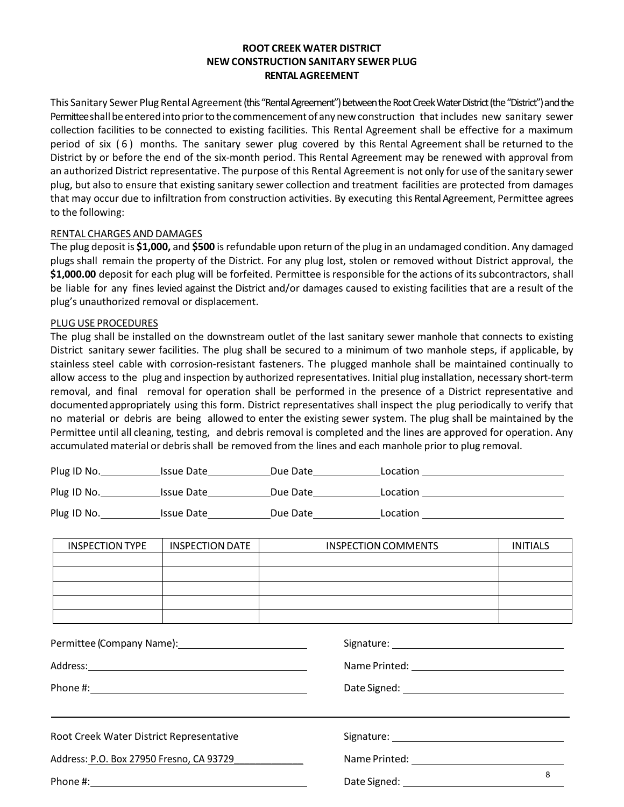### **ROOT CREEK WATER DISTRICT NEW CONSTRUCTION SANITARY SEWER PLUG RENTAL AGREEMENT**

This Sanitary Sewer Plug Rental Agreement(this "Rental Agreement") between the Root Creek Water District (the "District") and the Permittee shall be entered into prior to the commencement of any new construction that includes new sanitary sewer collection facilities to be connected to existing facilities. This Rental Agreement shall be effective for a maximum period of six (6) months. The sanitary sewer plug covered by this Rental Agreement shall be returned to the District by or before the end of the six-month period. This Rental Agreement may be renewed with approval from an authorized District representative. The purpose of this Rental Agreement is not only for use ofthe sanitary sewer plug, but also to ensure that existing sanitary sewer collection and treatment facilities are protected from damages that may occur due to infiltration from construction activities. By executing this Rental Agreement, Permittee agrees to the following:

#### RENTAL CHARGES AND DAMAGES

The plug deposit is **\$1,000,** and **\$500** isrefundable upon return of the plug in an undamaged condition. Any damaged plugs shall remain the property of the District. For any plug lost, stolen or removed without District approval, the **\$1,000.00** deposit for each plug will be forfeited. Permittee is responsible for the actions of its subcontractors, shall be liable for any fines levied against the District and/or damages caused to existing facilities that are a result of the plug's unauthorized removal or displacement.

#### PLUG USE PROCEDURES

The plug shall be installed on the downstream outlet of the last sanitary sewer manhole that connects to existing District sanitary sewer facilities. The plug shall be secured to a minimum of two manhole steps, if applicable, by stainless steel cable with corrosion‐resistant fasteners. The plugged manhole shall be maintained continually to allow access to the plug and inspection by authorized representatives. Initial plug installation, necessary short-term removal, and final removal for operation shall be performed in the presence of a District representative and documentedappropriately using this form. District representatives shall inspect the plug periodically to verify that no material or debris are being allowed to enter the existing sewer system. The plug shall be maintained by the Permittee until all cleaning, testing, and debris removal is completed and the lines are approved for operation. Any accumulated material or debris shall be removed from the lines and each manhole prior to plug removal.

| Plug ID No. | <b>Issue Date</b> | Due Date | Location |
|-------------|-------------------|----------|----------|
| Plug ID No. | <b>Issue Date</b> | Due Date | Location |
| Plug ID No. | <b>Issue Date</b> | Due Date | Location |

| <b>INSPECTION TYPE</b>                   | <b>INSPECTION DATE</b> | <b>INSPECTION COMMENTS</b> | <b>INITIALS</b> |  |  |
|------------------------------------------|------------------------|----------------------------|-----------------|--|--|
|                                          |                        |                            |                 |  |  |
|                                          |                        |                            |                 |  |  |
|                                          |                        |                            |                 |  |  |
|                                          |                        |                            |                 |  |  |
|                                          |                        |                            |                 |  |  |
|                                          |                        |                            |                 |  |  |
|                                          |                        |                            |                 |  |  |
|                                          |                        |                            |                 |  |  |
|                                          |                        |                            |                 |  |  |
| Root Creek Water District Representative |                        |                            |                 |  |  |
| Address: P.O. Box 27950 Fresno, CA 93729 |                        |                            |                 |  |  |
| Phone #:                                 |                        | Date Signed:               | 8               |  |  |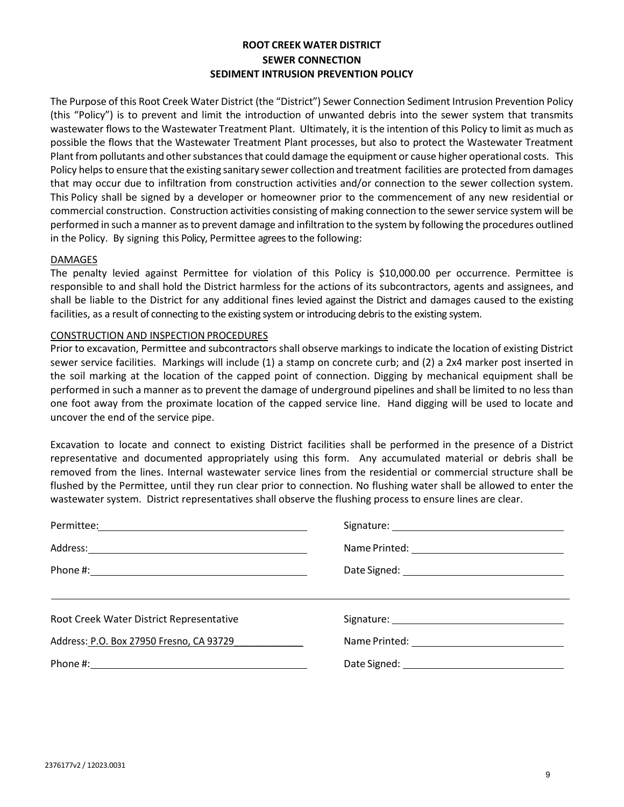## **ROOT CREEK WATER DISTRICT SEWER CONNECTION SEDIMENT INTRUSION PREVENTION POLICY**

The Purpose of this Root Creek Water District (the "District") Sewer Connection Sediment Intrusion Prevention Policy (this "Policy") is to prevent and limit the introduction of unwanted debris into the sewer system that transmits wastewater flows to the Wastewater Treatment Plant. Ultimately, it is the intention of this Policy to limit as much as possible the flows that the Wastewater Treatment Plant processes, but also to protect the Wastewater Treatment Plant from pollutants and other substances that could damage the equipment or cause higher operational costs. This Policy helps to ensure that the existing sanitary sewer collection and treatment facilities are protected from damages that may occur due to infiltration from construction activities and/or connection to the sewer collection system. This Policy shall be signed by a developer or homeowner prior to the commencement of any new residential or commercial construction. Construction activities consisting of making connection to the sewer service system will be performed in such a manner asto prevent damage and infiltration to the system by following the procedures outlined in the Policy. By signing this Policy, Permittee agrees to the following:

#### DAMAGES

The penalty levied against Permittee for violation of this Policy is \$10,000.00 per occurrence. Permittee is responsible to and shall hold the District harmless for the actions of its subcontractors, agents and assignees, and shall be liable to the District for any additional fines levied against the District and damages caused to the existing facilities, as a result of connecting to the existing system or introducing debris to the existing system.

### CONSTRUCTION AND INSPECTION PROCEDURES

Prior to excavation, Permittee and subcontractors shall observe markings to indicate the location of existing District sewer service facilities. Markings will include (1) a stamp on concrete curb; and (2) a 2x4 marker post inserted in the soil marking at the location of the capped point of connection. Digging by mechanical equipment shall be performed in such a manner as to prevent the damage of underground pipelines and shall be limited to no less than one foot away from the proximate location of the capped service line. Hand digging will be used to locate and uncover the end of the service pipe.

Excavation to locate and connect to existing District facilities shall be performed in the presence of a District representative and documented appropriately using this form. Any accumulated material or debris shall be removed from the lines. Internal wastewater service lines from the residential or commercial structure shall be flushed by the Permittee, until they run clear prior to connection. No flushing water shall be allowed to enter the wastewater system. District representatives shall observe the flushing process to ensure lines are clear.

| Permittee:                               |                                            |
|------------------------------------------|--------------------------------------------|
|                                          |                                            |
|                                          |                                            |
|                                          |                                            |
| Root Creek Water District Representative | Signature: Unliad Berry                    |
| Address: P.O. Box 27950 Fresno, CA 93729 | Name Printed: JULIA BERRY, General Manager |
| Phone #: 559-970-8778                    | Date Signed: February 8, 2021              |